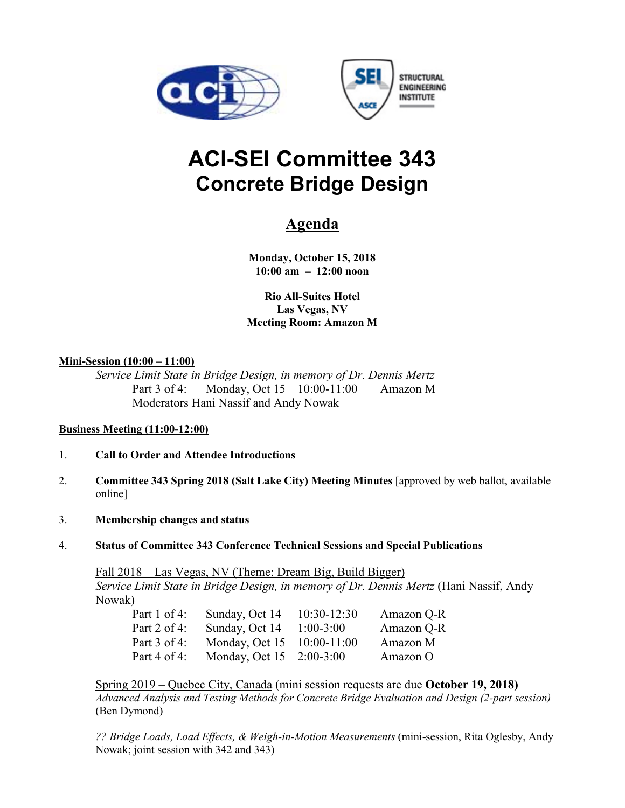



# **ACI-SEI Committee 343 Concrete Bridge Design**

# **Agenda**

**Monday, October 15, 2018 10:00 am – 12:00 noon** 

**Rio All-Suites Hotel Las Vegas, NV Meeting Room: Amazon M** 

# **Mini-Session (10:00 – 11:00)**

*Service Limit State in Bridge Design, in memory of Dr. Dennis Mertz* Part 3 of 4: Monday, Oct 15 10:00-11:00 Amazon M Moderators Hani Nassif and Andy Nowak

# **Business Meeting (11:00-12:00)**

- 1. **Call to Order and Attendee Introductions**
- 2. **Committee 343 Spring 2018 (Salt Lake City) Meeting Minutes** [approved by web ballot, available online]
- 3. **Membership changes and status**
- 4. **Status of Committee 343 Conference Technical Sessions and Special Publications**

Fall 2018 – Las Vegas, NV (Theme: Dream Big, Build Bigger) *Service Limit State in Bridge Design, in memory of Dr. Dennis Mertz* (Hani Nassif, Andy Nowak)

| Part 1 of 4: | Sunday, Oct 14             | $10:30-12:30$ | Amazon Q-R |
|--------------|----------------------------|---------------|------------|
| Part 2 of 4: | Sunday, Oct 14             | $1:00-3:00$   | Amazon Q-R |
| Part 3 of 4: | Monday, Oct 15 10:00-11:00 |               | Amazon M   |
| Part 4 of 4: | Monday, Oct 15 2:00-3:00   |               | Amazon O   |

Spring 2019 – Quebec City, Canada (mini session requests are due **October 19, 2018)**  *Advanced Analysis and Testing Methods for Concrete Bridge Evaluation and Design (2-part session)* (Ben Dymond)

*?? Bridge Loads, Load Effects, & Weigh-in-Motion Measurements* (mini-session, Rita Oglesby, Andy Nowak; joint session with 342 and 343)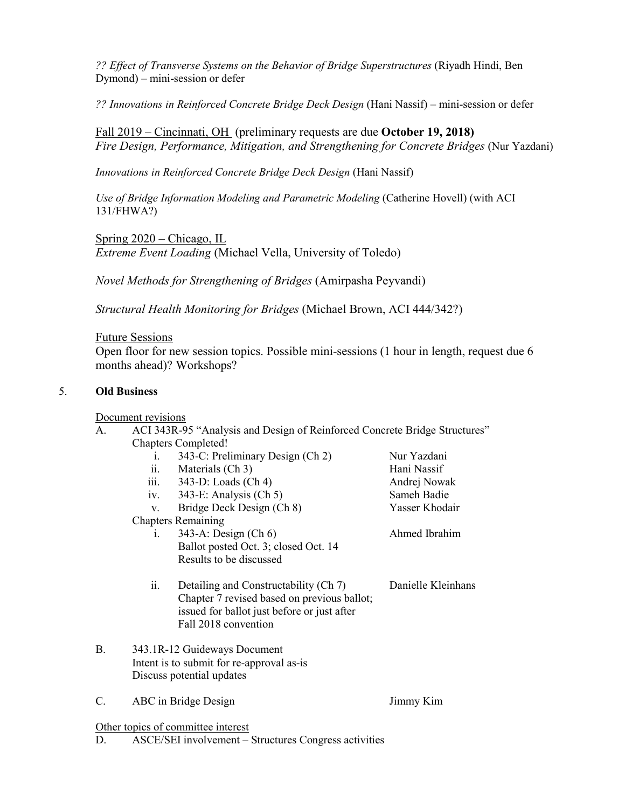*?? Effect of Transverse Systems on the Behavior of Bridge Superstructures* (Riyadh Hindi, Ben Dymond) – mini-session or defer

*?? Innovations in Reinforced Concrete Bridge Deck Design* (Hani Nassif) – mini-session or defer

Fall 2019 – Cincinnati, OH (preliminary requests are due **October 19, 2018)** *Fire Design, Performance, Mitigation, and Strengthening for Concrete Bridges* (Nur Yazdani)

*Innovations in Reinforced Concrete Bridge Deck Design* (Hani Nassif)

*Use of Bridge Information Modeling and Parametric Modeling* (Catherine Hovell) (with ACI 131/FHWA?)

Spring 2020 – Chicago, IL *Extreme Event Loading* (Michael Vella, University of Toledo)

*Novel Methods for Strengthening of Bridges* (Amirpasha Peyvandi)

*Structural Health Monitoring for Bridges* (Michael Brown, ACI 444/342?)

#### Future Sessions

Open floor for new session topics. Possible mini-sessions (1 hour in length, request due 6 months ahead)? Workshops?

#### 5. **Old Business**

#### Document revisions

| ACI 343R-95 "Analysis and Design of Reinforced Concrete Bridge Structures" |
|----------------------------------------------------------------------------|
| <b>Chapters Completed!</b>                                                 |

i. 343-C: Preliminary Design (Ch 2) Nur Yazdani ii. Materials (Ch 3) Hani Nassif iii. 343-D: Loads (Ch 4) Andrej Nowak<br>iv. 343-E: Analysis (Ch 5) Sameh Badie iv.  $343-E$ : Analysis (Ch 5) v. Bridge Deck Design (Ch 8) Yasser Khodair Chapters Remaining i. 343-A: Design (Ch 6) Ahmed Ibrahim Ballot posted Oct. 3; closed Oct. 14 Results to be discussed ii. Detailing and Constructability (Ch 7) Danielle Kleinhans Chapter 7 revised based on previous ballot; issued for ballot just before or just after Fall 2018 convention B. 343.1R-12 Guideways Document Intent is to submit for re-approval as-is Discuss potential updates

C. ABC in Bridge Design Jimmy Kim

Other topics of committee interest

D. ASCE/SEI involvement – Structures Congress activities